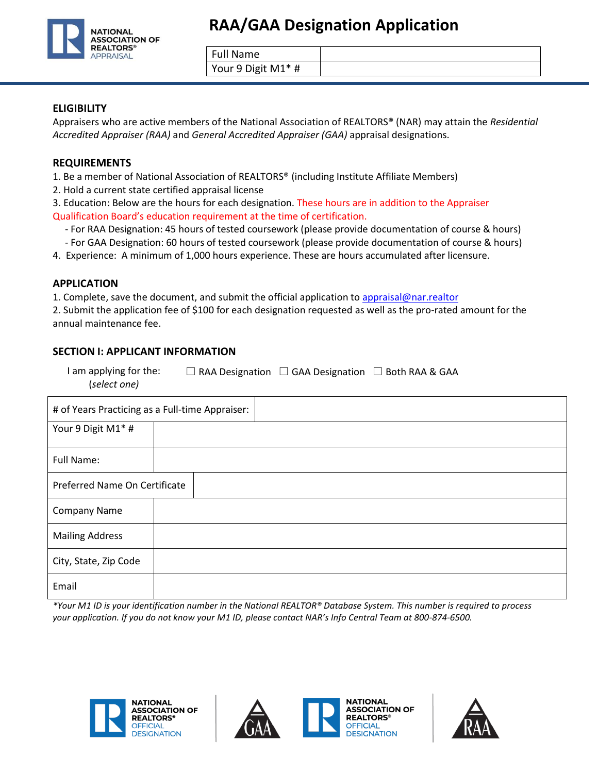

Full Name

Your 9 Digit M1\* #

#### **ELIGIBILITY**

Appraisers who are active members of the National Association of REALTORS® (NAR) may attain the *Residential Accredited Appraiser (RAA)* and *General Accredited Appraiser (GAA)* appraisal designations.

#### **REQUIREMENTS**

1. Be a member of National Association of REALTORS® (including Institute Affiliate Members)

2. Hold a current state certified appraisal license

3. Education: Below are the hours for each designation. These hours are in addition to the Appraiser Qualification Board's education requirement at the time of certification.

- For RAA Designation: 45 hours of tested coursework (please provide documentation of course & hours)
- For GAA Designation: 60 hours of tested coursework (please provide documentation of course & hours)
- 4. Experience: A minimum of 1,000 hours experience. These are hours accumulated after licensure.

#### **APPLICATION**

1. Complete, save the document, and submit the official application to [appraisal@nar.realtor](mailto:appraisal@nar.realtor)

2. Submit the application fee of \$100 for each designation requested as well as the pro-rated amount for the annual maintenance fee.

#### **SECTION I: APPLICANT INFORMATION**

| I am applying for the: | $\Box$ RAA Designation $\Box$ GAA Designation $\Box$ Both RAA & GAA |  |
|------------------------|---------------------------------------------------------------------|--|
| (select one)           |                                                                     |  |

| # of Years Practicing as a Full-time Appraiser: |  |  |  |  |
|-------------------------------------------------|--|--|--|--|
| Your 9 Digit M1* #                              |  |  |  |  |
| <b>Full Name:</b>                               |  |  |  |  |
| Preferred Name On Certificate                   |  |  |  |  |
| <b>Company Name</b>                             |  |  |  |  |
| <b>Mailing Address</b>                          |  |  |  |  |
| City, State, Zip Code                           |  |  |  |  |
| Email                                           |  |  |  |  |

*\*Your M1 ID is your identification number in the National REALTOR® Database System. This number is required to process your application. If you do not know your M1 ID, please contact NAR's Info Central Team at 800-874-6500.*





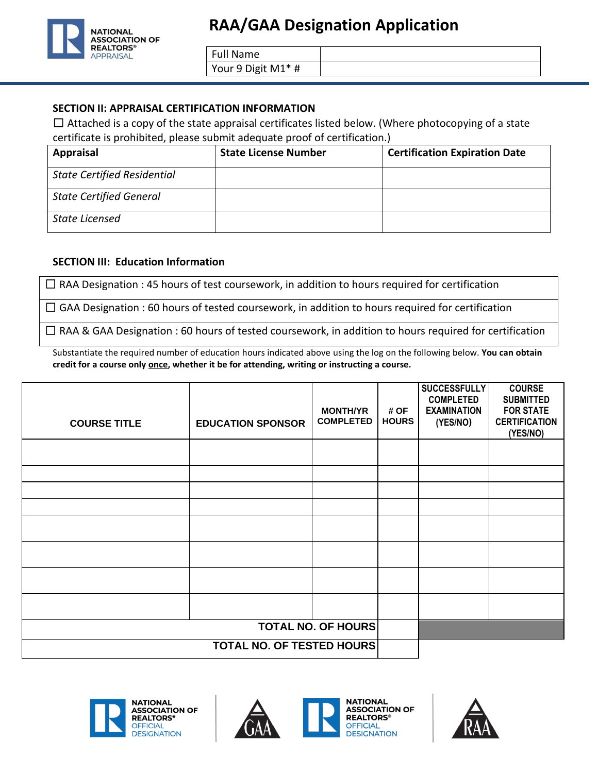

Full Name

Your 9 Digit M1\* #

### **SECTION II: APPRAISAL CERTIFICATION INFORMATION**

 $\Box$  Attached is a copy of the state appraisal certificates listed below. (Where photocopying of a state certificate is prohibited, please submit adequate proof of certification.)

| <b>Appraisal</b>                   | <b>State License Number</b> | <b>Certification Expiration Date</b> |
|------------------------------------|-----------------------------|--------------------------------------|
| <b>State Certified Residential</b> |                             |                                      |
| <b>State Certified General</b>     |                             |                                      |
| State Licensed                     |                             |                                      |

### **SECTION III: Education Information**

 $\Box$  RAA Designation : 45 hours of test coursework, in addition to hours required for certification

□ GAA Designation : 60 hours of tested coursework, in addition to hours required for certification

 $\Box$  RAA & GAA Designation : 60 hours of tested coursework, in addition to hours required for certification

Substantiate the required number of education hours indicated above using the log on the following below. **You can obtain credit for a course only once, whether it be for attending, writing or instructing a course.**

| <b>COURSE TITLE</b>              | <b>EDUCATION SPONSOR</b> | <b>MONTH/YR</b><br><b>COMPLETED</b> | # OF<br><b>HOURS</b> | <b>SUCCESSFULLY</b><br><b>COMPLETED</b><br><b>EXAMINATION</b><br>(YES/NO) | <b>COURSE</b><br><b>SUBMITTED</b><br><b>FOR STATE</b><br><b>CERTIFICATION</b><br>(YES/NO) |
|----------------------------------|--------------------------|-------------------------------------|----------------------|---------------------------------------------------------------------------|-------------------------------------------------------------------------------------------|
|                                  |                          |                                     |                      |                                                                           |                                                                                           |
|                                  |                          |                                     |                      |                                                                           |                                                                                           |
|                                  |                          |                                     |                      |                                                                           |                                                                                           |
|                                  |                          |                                     |                      |                                                                           |                                                                                           |
|                                  |                          |                                     |                      |                                                                           |                                                                                           |
|                                  |                          |                                     |                      |                                                                           |                                                                                           |
|                                  |                          |                                     |                      |                                                                           |                                                                                           |
|                                  |                          |                                     |                      |                                                                           |                                                                                           |
| <b>TOTAL NO. OF HOURS</b>        |                          |                                     |                      |                                                                           |                                                                                           |
| <b>TOTAL NO. OF TESTED HOURS</b> |                          |                                     |                      |                                                                           |                                                                                           |





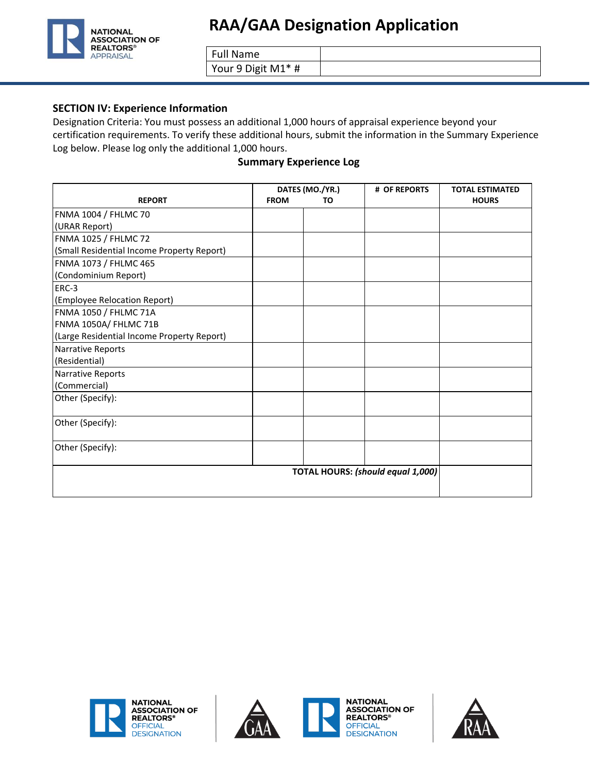

Full Name

Your 9 Digit M1\* #

#### **SECTION IV: Experience Information**

Designation Criteria: You must possess an additional 1,000 hours of appraisal experience beyond your certification requirements. To verify these additional hours, submit the information in the Summary Experience Log below. Please log only the additional 1,000 hours.

#### **Summary Experience Log**

|                                            | DATES (MO./YR.) |    | # OF REPORTS                      | <b>TOTAL ESTIMATED</b> |
|--------------------------------------------|-----------------|----|-----------------------------------|------------------------|
| <b>REPORT</b>                              | <b>FROM</b>     | TO |                                   | <b>HOURS</b>           |
| FNMA 1004 / FHLMC 70                       |                 |    |                                   |                        |
| (URAR Report)                              |                 |    |                                   |                        |
| FNMA 1025 / FHLMC 72                       |                 |    |                                   |                        |
| (Small Residential Income Property Report) |                 |    |                                   |                        |
| FNMA 1073 / FHLMC 465                      |                 |    |                                   |                        |
| (Condominium Report)                       |                 |    |                                   |                        |
| ERC-3                                      |                 |    |                                   |                        |
| (Employee Relocation Report)               |                 |    |                                   |                        |
| FNMA 1050 / FHLMC 71A                      |                 |    |                                   |                        |
| FNMA 1050A/ FHLMC 71B                      |                 |    |                                   |                        |
| (Large Residential Income Property Report) |                 |    |                                   |                        |
| Narrative Reports                          |                 |    |                                   |                        |
| (Residential)                              |                 |    |                                   |                        |
| Narrative Reports                          |                 |    |                                   |                        |
| (Commercial)                               |                 |    |                                   |                        |
| Other (Specify):                           |                 |    |                                   |                        |
| Other (Specify):                           |                 |    |                                   |                        |
| Other (Specify):                           |                 |    |                                   |                        |
|                                            |                 |    | TOTAL HOURS: (should equal 1,000) |                        |





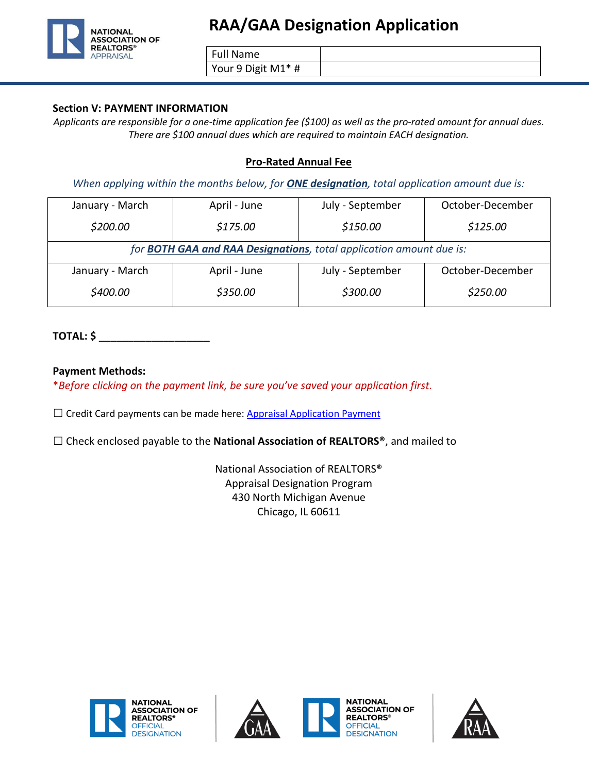

Full Name

Your 9 Digit M1\* #

### **Section V: PAYMENT INFORMATION**

*Applicants are responsible for a one-time application fee (\$100) as well as the pro-rated amount for annual dues. There are \$100 annual dues which are required to maintain EACH designation.*

## **Pro-Rated Annual Fee**

*When applying within the months below, for ONE designation, total application amount due is:*

| January - March                                                             | April - June | July - September | October-December |  |
|-----------------------------------------------------------------------------|--------------|------------------|------------------|--|
| \$200.00                                                                    | \$175.00     | \$150.00         | \$125.00         |  |
| for <b>BOTH GAA and RAA Designations</b> , total application amount due is: |              |                  |                  |  |
| January - March                                                             | April - June | July - September | October-December |  |
| \$400.00                                                                    | \$350.00     | \$300.00         | \$250.00         |  |

# **TOTAL: \$** \_\_\_\_\_\_\_\_\_\_\_\_\_\_\_\_\_\_\_

### **Payment Methods:**

\**Before clicking on the payment link, be sure you've saved your application first.*

 $\Box$  Credit Card payments can be made here[: Appraisal Application Payment](https://secure.realtor.org/Appraisalapp.nsf/startreg?openform)

☐ Check enclosed payable to the **National Association of REALTORS®**, and mailed to

National Association of REALTORS® Appraisal Designation Program 430 North Michigan Avenue Chicago, IL 60611